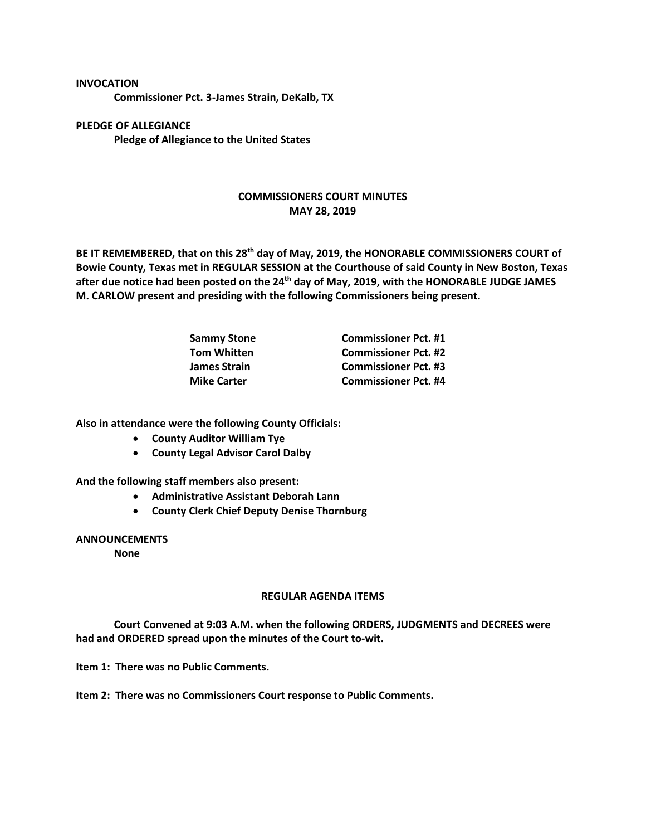**INVOCATION**

**Commissioner Pct. 3-James Strain, DeKalb, TX**

**PLEDGE OF ALLEGIANCE Pledge of Allegiance to the United States**

## **COMMISSIONERS COURT MINUTES MAY 28, 2019**

**BE IT REMEMBERED, that on this 28th day of May, 2019, the HONORABLE COMMISSIONERS COURT of Bowie County, Texas met in REGULAR SESSION at the Courthouse of said County in New Boston, Texas after due notice had been posted on the 24th day of May, 2019, with the HONORABLE JUDGE JAMES M. CARLOW present and presiding with the following Commissioners being present.**

| <b>Sammy Stone</b>  | <b>Commissioner Pct. #1</b> |
|---------------------|-----------------------------|
| <b>Tom Whitten</b>  | <b>Commissioner Pct. #2</b> |
| <b>James Strain</b> | <b>Commissioner Pct. #3</b> |
| <b>Mike Carter</b>  | <b>Commissioner Pct. #4</b> |

**Also in attendance were the following County Officials:**

- **County Auditor William Tye**
- **County Legal Advisor Carol Dalby**

**And the following staff members also present:**

- **Administrative Assistant Deborah Lann**
- **County Clerk Chief Deputy Denise Thornburg**

## **ANNOUNCEMENTS**

**None**

## **REGULAR AGENDA ITEMS**

**Court Convened at 9:03 A.M. when the following ORDERS, JUDGMENTS and DECREES were had and ORDERED spread upon the minutes of the Court to-wit.**

**Item 1: There was no Public Comments.**

**Item 2: There was no Commissioners Court response to Public Comments.**